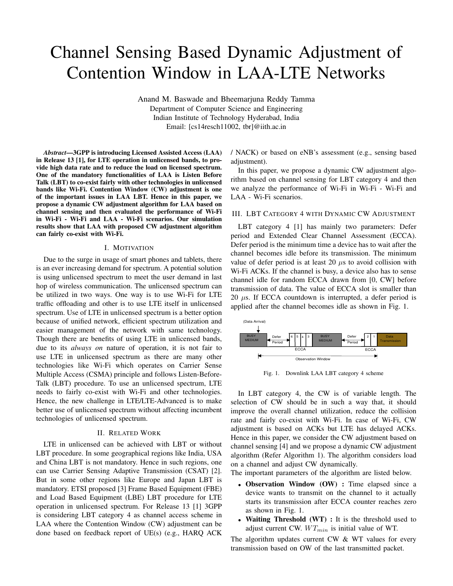# Channel Sensing Based Dynamic Adjustment of Contention Window in LAA-LTE Networks

Anand M. Baswade and Bheemarjuna Reddy Tamma Department of Computer Science and Engineering Indian Institute of Technology Hyderabad, India Email: [cs14resch11002, tbr]@iith.ac.in

*Abstract*—3GPP is introducing Licensed Assisted Access (LAA) in Release 13 [1], for LTE operation in unlicensed bands, to provide high data rate and to reduce the load on licensed spectrum. One of the mandatory functionalities of LAA is Listen Before Talk (LBT) to co-exist fairly with other technologies in unlicensed bands like Wi-Fi. Contention Window (CW) adjustment is one of the important issues in LAA LBT. Hence in this paper, we propose a dynamic CW adjustment algorithm for LAA based on channel sensing and then evaluated the performance of Wi-Fi in Wi-Fi - Wi-Fi and LAA - Wi-Fi scenarios. Our simulation results show that LAA with proposed CW adjustment algorithm can fairly co-exist with Wi-Fi.

## I. MOTIVATION

Due to the surge in usage of smart phones and tablets, there is an ever increasing demand for spectrum. A potential solution is using unlicensed spectrum to meet the user demand in last hop of wireless communication. The unlicensed spectrum can be utilized in two ways. One way is to use Wi-Fi for LTE traffic offloading and other is to use LTE itself in unlicensed spectrum. Use of LTE in unlicensed spectrum is a better option because of unified network, efficient spectrum utilization and easier management of the network with same technology. Though there are benefits of using LTE in unlicensed bands, due to its *always on* nature of operation, it is not fair to use LTE in unlicensed spectrum as there are many other technologies like Wi-Fi which operates on Carrier Sense Multiple Access (CSMA) principle and follows Listen-Before-Talk (LBT) procedure. To use an unlicensed spectrum, LTE needs to fairly co-exist with Wi-Fi and other technologies. Hence, the new challenge in LTE/LTE-Advanced is to make better use of unlicensed spectrum without affecting incumbent technologies of unlicensed spectrum.

#### II. RELATED WORK

LTE in unlicensed can be achieved with LBT or without LBT procedure. In some geographical regions like India, USA and China LBT is not mandatory. Hence in such regions, one can use Carrier Sensing Adaptive Transmission (CSAT) [2]. But in some other regions like Europe and Japan LBT is mandatory. ETSI proposed [3] Frame Based Equipment (FBE) and Load Based Equipment (LBE) LBT procedure for LTE operation in unlicensed spectrum. For Release 13 [1] 3GPP is considering LBT category 4 as channel access scheme in LAA where the Contention Window (CW) adjustment can be done based on feedback report of UE(s) (e.g., HARQ ACK / NACK) or based on eNB's assessment (e.g., sensing based adjustment).

In this paper, we propose a dynamic CW adjustment algorithm based on channel sensing for LBT category 4 and then we analyze the performance of Wi-Fi in Wi-Fi - Wi-Fi and LAA - Wi-Fi scenarios.

# III. LBT CATEGORY 4 WITH DYNAMIC CW ADJUSTMENT

LBT category 4 [1] has mainly two parameters: Defer period and Extended Clear Channel Assessment (ECCA). Defer period is the minimum time a device has to wait after the channel becomes idle before its transmission. The minimum value of defer period is at least 20  $\mu$ s to avoid collision with Wi-Fi ACKs. If the channel is busy, a device also has to sense channel idle for random ECCA drawn from [0, CW] before transmission of data. The value of ECCA slot is smaller than 20  $\mu$ s. If ECCA countdown is interrupted, a defer period is applied after the channel becomes idle as shown in Fig. 1.



Fig. 1. Downlink LAA LBT category 4 scheme

In LBT category 4, the CW is of variable length. The selection of CW should be in such a way that, it should improve the overall channel utilization, reduce the collision rate and fairly co-exist with Wi-Fi. In case of Wi-Fi, CW adjustment is based on ACKs but LTE has delayed ACKs. Hence in this paper, we consider the CW adjustment based on channel sensing [4] and we propose a dynamic CW adjustment algorithm (Refer Algorithm 1). The algorithm considers load on a channel and adjust CW dynamically.

The important parameters of the algorithm are listed below.

- Observation Window (OW) : Time elapsed since a device wants to transmit on the channel to it actually starts its transmission after ECCA counter reaches zero as shown in Fig. 1.
- Waiting Threshold (WT) : It is the threshold used to adjust current CW.  $WT_{min}$  is initial value of WT.

The algorithm updates current CW & WT values for every transmission based on OW of the last transmitted packet.